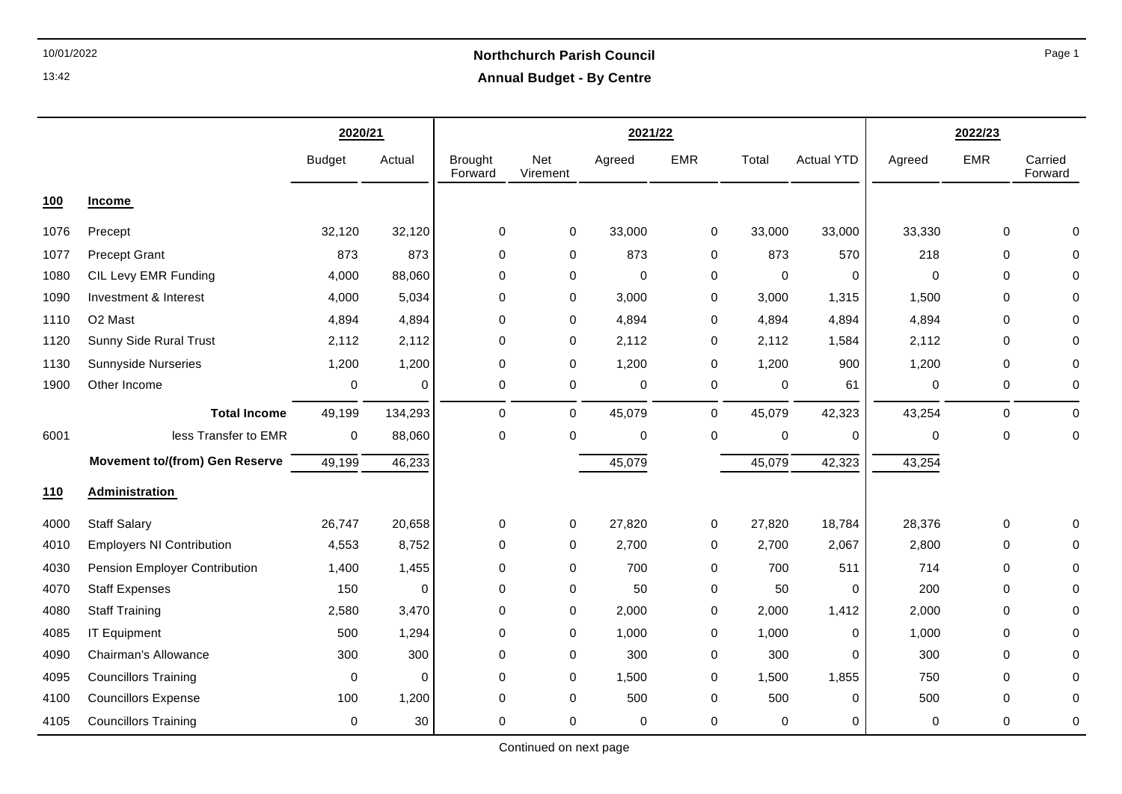# 10/01/2022 **Northchurch Parish Council Annual Budget - By Centre**

|            |                                       | 2020/21       |             |                           |                 | 2021/22     |            | 2022/23 |                   |             |             |                    |
|------------|---------------------------------------|---------------|-------------|---------------------------|-----------------|-------------|------------|---------|-------------------|-------------|-------------|--------------------|
|            |                                       | <b>Budget</b> | Actual      | <b>Brought</b><br>Forward | Net<br>Virement | Agreed      | <b>EMR</b> | Total   | <b>Actual YTD</b> | Agreed      | <b>EMR</b>  | Carried<br>Forward |
| <b>100</b> | <b>Income</b>                         |               |             |                           |                 |             |            |         |                   |             |             |                    |
| 1076       | Precept                               | 32,120        | 32,120      | 0                         | 0               | 33,000      | 0          | 33,000  | 33,000            | 33,330      | 0           | 0                  |
| 1077       | <b>Precept Grant</b>                  | 873           | 873         | $\mathbf 0$               | $\mathbf 0$     | 873         | 0          | 873     | 570               | 218         | $\mathbf 0$ | 0                  |
| 1080       | CIL Levy EMR Funding                  | 4,000         | 88,060      | $\mathbf 0$               | 0               | $\mathbf 0$ | 0          | 0       | 0                 | $\mathbf 0$ | 0           | 0                  |
| 1090       | Investment & Interest                 | 4,000         | 5,034       | 0                         | 0               | 3,000       | 0          | 3,000   | 1,315             | 1,500       | 0           | 0                  |
| 1110       | O <sub>2</sub> Mast                   | 4,894         | 4,894       | $\mathbf 0$               | $\mathbf 0$     | 4,894       | 0          | 4,894   | 4,894             | 4,894       | 0           | $\Omega$           |
| 1120       | Sunny Side Rural Trust                | 2,112         | 2,112       | $\mathbf 0$               | $\mathbf 0$     | 2,112       | 0          | 2,112   | 1,584             | 2,112       | $\mathbf 0$ | $\mathbf 0$        |
| 1130       | <b>Sunnyside Nurseries</b>            | 1,200         | 1,200       | $\mathbf 0$               | $\mathbf 0$     | 1,200       | 0          | 1,200   | 900               | 1,200       | $\mathbf 0$ | $\mathbf 0$        |
| 1900       | Other Income                          | 0             | $\mathbf 0$ | 0                         | $\mathbf 0$     | 0           | 0          | 0       | 61                | 0           | 0           | $\mathbf 0$        |
|            | <b>Total Income</b>                   | 49,199        | 134,293     | $\mathbf 0$               | 0               | 45,079      | 0          | 45,079  | 42,323            | 43,254      | $\Omega$    | $\mathbf 0$        |
| 6001       | less Transfer to EMR                  | $\mathbf 0$   | 88,060      | $\mathbf 0$               | $\mathbf 0$     | $\mathbf 0$ | 0          | 0       | 0                 | 0           | $\mathbf 0$ | $\mathbf 0$        |
|            | <b>Movement to/(from) Gen Reserve</b> | 49,199        | 46,233      |                           |                 | 45,079      |            | 45,079  | 42,323            | 43,254      |             |                    |
| 110        | Administration                        |               |             |                           |                 |             |            |         |                   |             |             |                    |
| 4000       | <b>Staff Salary</b>                   | 26,747        | 20,658      | 0                         | 0               | 27,820      | 0          | 27,820  | 18,784            | 28,376      | 0           | 0                  |
| 4010       | <b>Employers NI Contribution</b>      | 4,553         | 8,752       | 0                         | $\mathbf 0$     | 2,700       | 0          | 2,700   | 2,067             | 2,800       | 0           | $\mathbf 0$        |
| 4030       | Pension Employer Contribution         | 1,400         | 1,455       | 0                         | $\mathbf 0$     | 700         | 0          | 700     | 511               | 714         | 0           | 0                  |
| 4070       | <b>Staff Expenses</b>                 | 150           | 0           | 0                         | 0               | 50          | 0          | 50      | 0                 | 200         | 0           | $\mathbf 0$        |
| 4080       | <b>Staff Training</b>                 | 2,580         | 3,470       | $\mathbf 0$               | 0               | 2,000       | 0          | 2,000   | 1,412             | 2,000       | 0           | $\mathbf 0$        |
| 4085       | <b>IT Equipment</b>                   | 500           | 1,294       | $\mathbf 0$               | 0               | 1,000       | 0          | 1,000   | 0                 | 1,000       | 0           | $\mathbf 0$        |
| 4090       | Chairman's Allowance                  | 300           | 300         | $\mathbf 0$               | $\mathbf 0$     | 300         | 0          | 300     | 0                 | 300         | 0           | 0                  |
| 4095       | <b>Councillors Training</b>           | $\mathbf 0$   | $\mathbf 0$ | 0                         | 0               | 1,500       | 0          | 1,500   | 1,855             | 750         | 0           | 0                  |
| 4100       | <b>Councillors Expense</b>            | 100           | 1,200       | 0                         | 0               | 500         | 0          | 500     | 0                 | 500         | 0           | 0                  |
| 4105       | <b>Councillors Training</b>           | 0             | 30          | 0                         | $\mathbf 0$     | 0           | 0          | 0       | 0                 | 0           | 0           | $\mathbf 0$        |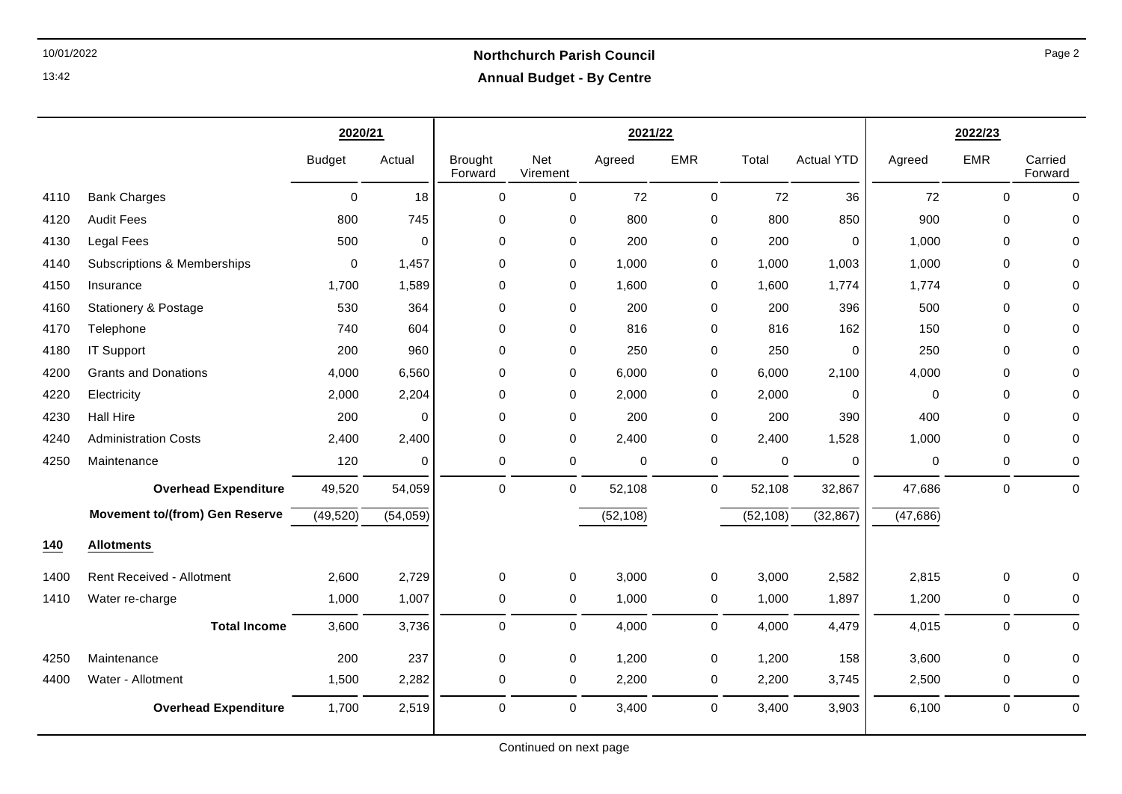## 10/01/2022 **Northchurch Parish Council Annual Budget - By Centre**

|      |                                        | 2020/21       |          |                           |                 | 2021/22   |             | 2022/23     |                   |           |             |                    |
|------|----------------------------------------|---------------|----------|---------------------------|-----------------|-----------|-------------|-------------|-------------------|-----------|-------------|--------------------|
|      |                                        | <b>Budget</b> | Actual   | <b>Brought</b><br>Forward | Net<br>Virement | Agreed    | <b>EMR</b>  | Total       | <b>Actual YTD</b> | Agreed    | <b>EMR</b>  | Carried<br>Forward |
| 4110 | <b>Bank Charges</b>                    | 0             | 18       | 0                         | 0               | 72        | 0           | 72          | 36                | 72        | $\mathbf 0$ | $\mathbf 0$        |
| 4120 | <b>Audit Fees</b>                      | 800           | 745      | 0                         | 0               | 800       | 0           | 800         | 850               | 900       | $\Omega$    | 0                  |
| 4130 | <b>Legal Fees</b>                      | 500           | 0        | $\Omega$                  | 0               | 200       | 0           | 200         | 0                 | 1,000     | $\Omega$    | $\Omega$           |
| 4140 | <b>Subscriptions &amp; Memberships</b> | $\mathbf 0$   | 1,457    | 0                         | 0               | 1,000     | 0           | 1,000       | 1,003             | 1,000     | $\mathbf 0$ | $\mathbf 0$        |
| 4150 | Insurance                              | 1,700         | 1,589    | $\mathbf 0$               | 0               | 1,600     | 0           | 1,600       | 1,774             | 1,774     | $\Omega$    | $\mathbf 0$        |
| 4160 | <b>Stationery &amp; Postage</b>        | 530           | 364      | 0                         | 0               | 200       | 0           | 200         | 396               | 500       | $\Omega$    | $\mathbf 0$        |
| 4170 | Telephone                              | 740           | 604      | 0                         | 0               | 816       | 0           | 816         | 162               | 150       | $\mathbf 0$ | 0                  |
| 4180 | <b>IT Support</b>                      | 200           | 960      | 0                         | 0               | 250       | 0           | 250         | 0                 | 250       | $\Omega$    | 0                  |
| 4200 | <b>Grants and Donations</b>            | 4,000         | 6,560    | 0                         | 0               | 6,000     | $\mathbf 0$ | 6,000       | 2,100             | 4,000     | $\Omega$    | $\mathbf 0$        |
| 4220 | Electricity                            | 2,000         | 2,204    | 0                         | 0               | 2,000     | $\mathbf 0$ | 2,000       | 0                 | 0         | $\Omega$    | $\mathbf 0$        |
| 4230 | <b>Hall Hire</b>                       | 200           | 0        | $\mathbf 0$               | 0               | 200       | 0           | 200         | 390               | 400       | 0           | $\mathbf 0$        |
| 4240 | <b>Administration Costs</b>            | 2,400         | 2,400    | 0                         | 0               | 2,400     | 0           | 2,400       | 1,528             | 1,000     | $\Omega$    | 0                  |
| 4250 | Maintenance                            | 120           | 0        | 0                         | 0               | 0         | 0           | $\mathbf 0$ | $\Omega$          | 0         | 0           | 0                  |
|      | <b>Overhead Expenditure</b>            | 49,520        | 54,059   | $\mathbf 0$               | 0               | 52,108    | 0           | 52,108      | 32,867            | 47,686    | $\mathbf 0$ | $\mathbf 0$        |
|      | <b>Movement to/(from) Gen Reserve</b>  | (49, 520)     | (54,059) |                           |                 | (52, 108) |             | (52, 108)   | (32, 867)         | (47, 686) |             |                    |
| 140  | <b>Allotments</b>                      |               |          |                           |                 |           |             |             |                   |           |             |                    |
| 1400 | <b>Rent Received - Allotment</b>       | 2,600         | 2,729    | 0                         | 0               | 3,000     | 0           | 3,000       | 2,582             | 2,815     | $\mathbf 0$ | $\mathbf 0$        |
| 1410 | Water re-charge                        | 1,000         | 1,007    | 0                         | 0               | 1,000     | 0           | 1,000       | 1,897             | 1,200     | 0           | 0                  |
|      | <b>Total Income</b>                    | 3,600         | 3,736    | 0                         | 0               | 4,000     | 0           | 4,000       | 4,479             | 4,015     | $\mathbf 0$ | $\mathbf 0$        |
| 4250 | Maintenance                            | 200           | 237      | 0                         | 0               | 1,200     | $\mathbf 0$ | 1,200       | 158               | 3,600     | $\Omega$    | $\mathbf 0$        |
| 4400 | Water - Allotment                      | 1,500         | 2,282    | 0                         | 0               | 2,200     | 0           | 2,200       | 3,745             | 2,500     | $\mathbf 0$ | $\mathbf 0$        |
|      | <b>Overhead Expenditure</b>            | 1,700         | 2,519    | 0                         | 0               | 3,400     | 0           | 3,400       | 3,903             | 6,100     | $\Omega$    | $\mathbf 0$        |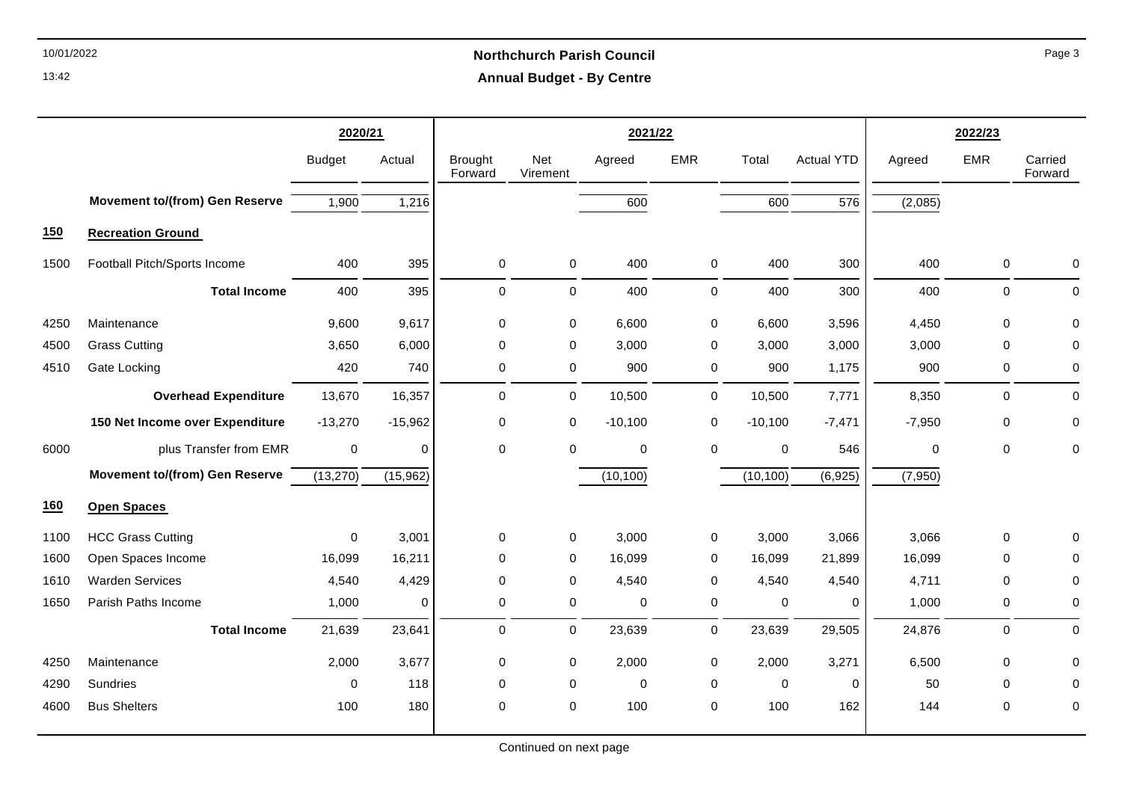# 10/01/2022 **Northchurch Parish Council Annual Budget - By Centre**

|      |                                       | 2020/21       |             |                           |                 | 2021/22     |             | 2022/23     |                   |             |             |                    |
|------|---------------------------------------|---------------|-------------|---------------------------|-----------------|-------------|-------------|-------------|-------------------|-------------|-------------|--------------------|
|      |                                       | <b>Budget</b> | Actual      | <b>Brought</b><br>Forward | Net<br>Virement | Agreed      | <b>EMR</b>  | Total       | <b>Actual YTD</b> | Agreed      | <b>EMR</b>  | Carried<br>Forward |
|      | <b>Movement to/(from) Gen Reserve</b> | 1,900         | 1,216       |                           |                 | 600         |             | 600         | $\overline{576}$  | (2,085)     |             |                    |
| 150  | <b>Recreation Ground</b>              |               |             |                           |                 |             |             |             |                   |             |             |                    |
| 1500 | Football Pitch/Sports Income          | 400           | 395         | 0                         | $\overline{0}$  | 400         | 0           | 400         | 300               | 400         | $\mathbf 0$ | 0                  |
|      | <b>Total Income</b>                   | 400           | 395         | 0                         | 0               | 400         | 0           | 400         | 300               | 400         | 0           | $\mathbf 0$        |
| 4250 | Maintenance                           | 9.600         | 9,617       | $\mathbf 0$               | $\pmb{0}$       | 6,600       | 0           | 6,600       | 3,596             | 4,450       | $\Omega$    | $\mathbf 0$        |
| 4500 | <b>Grass Cutting</b>                  | 3,650         | 6,000       | $\mathbf 0$               | 0               | 3,000       | 0           | 3,000       | 3,000             | 3,000       | $\Omega$    | $\mathbf 0$        |
| 4510 | Gate Locking                          | 420           | 740         | $\mathbf 0$               | 0               | 900         | 0           | 900         | 1,175             | 900         | 0           | $\mathbf 0$        |
|      | <b>Overhead Expenditure</b>           | 13,670        | 16,357      | $\mathbf 0$               | $\mathbf 0$     | 10,500      | $\mathbf 0$ | 10,500      | 7,771             | 8,350       | 0           | $\mathbf 0$        |
|      | 150 Net Income over Expenditure       | $-13,270$     | $-15,962$   | 0                         | 0               | $-10,100$   | 0           | $-10,100$   | $-7,471$          | $-7,950$    | 0           | $\mathbf 0$        |
| 6000 | plus Transfer from EMR                | $\mathbf 0$   | $\mathbf 0$ | $\mathbf 0$               | 0               | $\mathbf 0$ | 0           | 0           | 546               | $\mathbf 0$ | $\mathbf 0$ | $\mathbf 0$        |
|      | <b>Movement to/(from) Gen Reserve</b> | (13,270)      | (15,962)    |                           |                 | (10, 100)   |             | (10, 100)   | (6, 925)          | (7,950)     |             |                    |
| 160  | <b>Open Spaces</b>                    |               |             |                           |                 |             |             |             |                   |             |             |                    |
| 1100 | <b>HCC Grass Cutting</b>              | $\Omega$      | 3,001       | $\mathbf 0$               | 0               | 3,000       | 0           | 3,000       | 3,066             | 3,066       | $\mathbf 0$ | $\Omega$           |
| 1600 | Open Spaces Income                    | 16,099        | 16,211      | $\mathbf 0$               | $\mathbf 0$     | 16,099      | 0           | 16,099      | 21,899            | 16,099      | $\mathbf 0$ | 0                  |
| 1610 | <b>Warden Services</b>                | 4,540         | 4,429       | 0                         | $\mathbf 0$     | 4,540       | 0           | 4,540       | 4,540             | 4,711       | 0           | 0                  |
| 1650 | Parish Paths Income                   | 1,000         | $\mathbf 0$ | $\mathbf 0$               | $\mathbf 0$     | 0           | 0           | 0           | 0                 | 1,000       | 0           | 0                  |
|      | <b>Total Income</b>                   | 21,639        | 23,641      | $\pmb{0}$                 | 0               | 23,639      | 0           | 23,639      | 29,505            | 24,876      | 0           | $\mathbf 0$        |
| 4250 | Maintenance                           | 2,000         | 3,677       | $\mathbf 0$               | $\mathbf 0$     | 2,000       | 0           | 2,000       | 3,271             | 6,500       | 0           | 0                  |
| 4290 | Sundries                              | 0             | 118         | $\mathbf 0$               | $\mathbf 0$     | 0           | 0           | $\mathbf 0$ | 0                 | 50          | $\Omega$    | 0                  |
| 4600 | <b>Bus Shelters</b>                   | 100           | 180         | $\mathbf 0$               | 0               | 100         | 0           | 100         | 162               | 144         | 0           | 0                  |

Page 3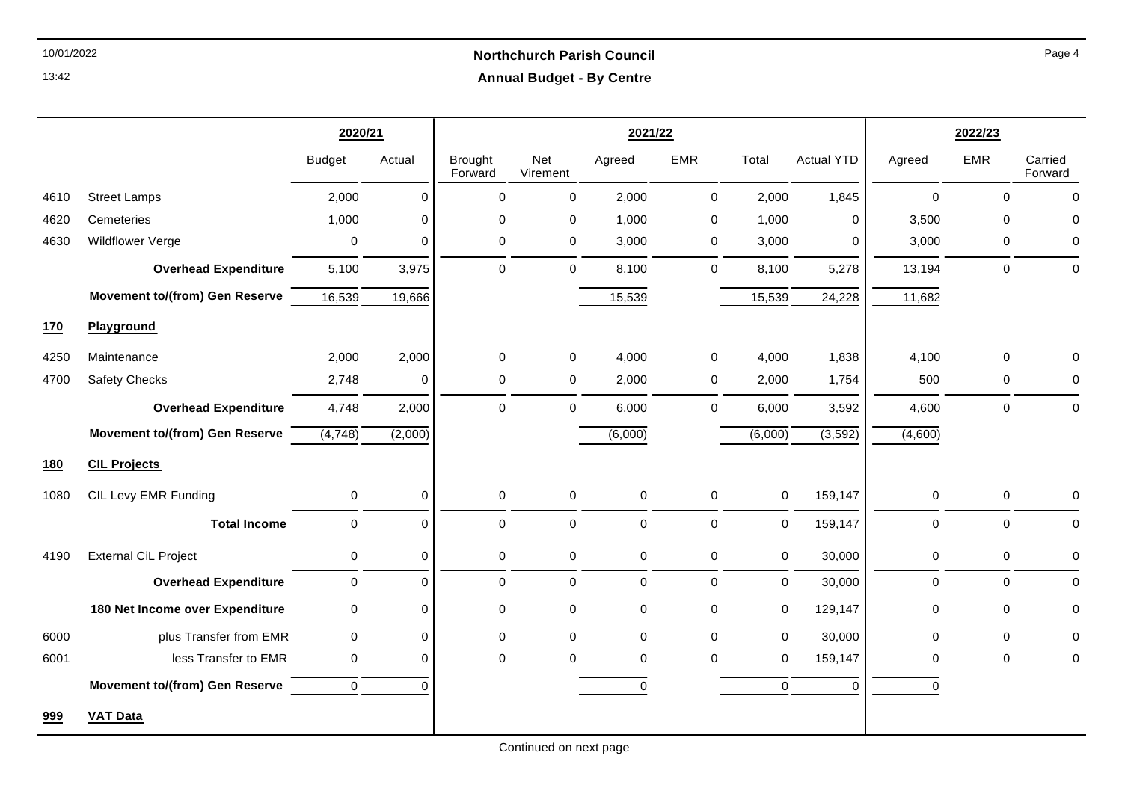## 10/01/2022 **Northchurch Parish Council Annual Budget - By Centre**

|      |                                       | 2020/21       |          |                           |                 | 2021/22     |             | 2022/23     |                   |             |              |                    |
|------|---------------------------------------|---------------|----------|---------------------------|-----------------|-------------|-------------|-------------|-------------------|-------------|--------------|--------------------|
|      |                                       | <b>Budget</b> | Actual   | <b>Brought</b><br>Forward | Net<br>Virement | Agreed      | <b>EMR</b>  | Total       | <b>Actual YTD</b> | Agreed      | <b>EMR</b>   | Carried<br>Forward |
| 4610 | <b>Street Lamps</b>                   | 2,000         | 0        | 0                         | 0               | 2,000       | $\mathbf 0$ | 2,000       | 1,845             | 0           | $\mathbf 0$  | $\mathbf 0$        |
| 4620 | Cemeteries                            | 1,000         | 0        | 0                         | 0               | 1,000       | 0           | 1,000       | 0                 | 3,500       | $\Omega$     | $\mathbf 0$        |
| 4630 | Wildflower Verge                      | 0             | 0        | $\mathbf 0$               | 0               | 3,000       | $\mathbf 0$ | 3,000       | 0                 | 3,000       | $\mathbf 0$  | $\mathbf 0$        |
|      | <b>Overhead Expenditure</b>           | 5,100         | 3,975    | $\Omega$                  | 0               | 8,100       | $\mathbf 0$ | 8,100       | 5,278             | 13,194      | $\mathbf{0}$ | $\mathbf 0$        |
|      | <b>Movement to/(from) Gen Reserve</b> | 16,539        | 19,666   |                           |                 | 15,539      |             | 15,539      | 24,228            | 11,682      |              |                    |
| 170  | Playground                            |               |          |                           |                 |             |             |             |                   |             |              |                    |
| 4250 | Maintenance                           | 2,000         | 2,000    | $\mathbf 0$               | 0               | 4,000       | $\mathbf 0$ | 4,000       | 1,838             | 4,100       | $\mathbf{0}$ | $\mathbf 0$        |
| 4700 | Safety Checks                         | 2,748         | 0        | 0                         | 0               | 2,000       | 0           | 2,000       | 1,754             | 500         | 0            | 0                  |
|      | <b>Overhead Expenditure</b>           | 4,748         | 2,000    | $\mathbf 0$               | 0               | 6,000       | $\mathbf 0$ | 6,000       | 3,592             | 4,600       | $\Omega$     | $\mathbf 0$        |
|      | <b>Movement to/(from) Gen Reserve</b> | (4, 748)      | (2,000)  |                           |                 | (6,000)     |             | (6,000)     | (3, 592)          | (4,600)     |              |                    |
| 180  | <b>CIL Projects</b>                   |               |          |                           |                 |             |             |             |                   |             |              |                    |
| 1080 | CIL Levy EMR Funding                  | $\mathbf 0$   | 0        | $\pmb{0}$                 | 0               | $\pmb{0}$   | $\mathbf 0$ | 0           | 159,147           | $\mathbf 0$ | $\mathbf 0$  | $\mathbf 0$        |
|      | <b>Total Income</b>                   | $\mathbf 0$   | $\Omega$ | 0                         | 0               | $\mathbf 0$ | $\mathbf 0$ | 0           | 159,147           | $\mathbf 0$ | $\mathbf{0}$ | $\Omega$           |
| 4190 | <b>External CiL Project</b>           | $\mathbf 0$   | 0        | 0                         | 0               | 0           | $\mathbf 0$ | 0           | 30,000            | 0           | 0            | $\mathbf 0$        |
|      | <b>Overhead Expenditure</b>           | $\mathbf 0$   | 0        | 0                         | 0               | 0           | $\mathbf 0$ | 0           | 30,000            | $\mathbf 0$ | $\mathbf 0$  | $\mathbf 0$        |
|      | 180 Net Income over Expenditure       | $\mathbf 0$   | 0        | 0                         | 0               | $\pmb{0}$   | $\pmb{0}$   | 0           | 129,147           | 0           | $\mathbf 0$  | $\mathbf 0$        |
| 6000 | plus Transfer from EMR                | $\pmb{0}$     | 0        | 0                         | 0               | $\mathbf 0$ | $\pmb{0}$   | $\mathbf 0$ | 30,000            | 0           | $\mathbf 0$  | $\mathbf 0$        |
| 6001 | less Transfer to EMR                  | 0             | 0        | 0                         | 0               | 0           | 0           | 0           | 159,147           | 0           | $\Omega$     | 0                  |
|      | <b>Movement to/(from) Gen Reserve</b> | $\mathbf 0$   | $\Omega$ |                           |                 | $\mathbf 0$ |             | $\mathbf 0$ | $\mathbf 0$       | 0           |              |                    |
| 999  | <b>VAT Data</b>                       |               |          |                           |                 |             |             |             |                   |             |              |                    |

Page 4